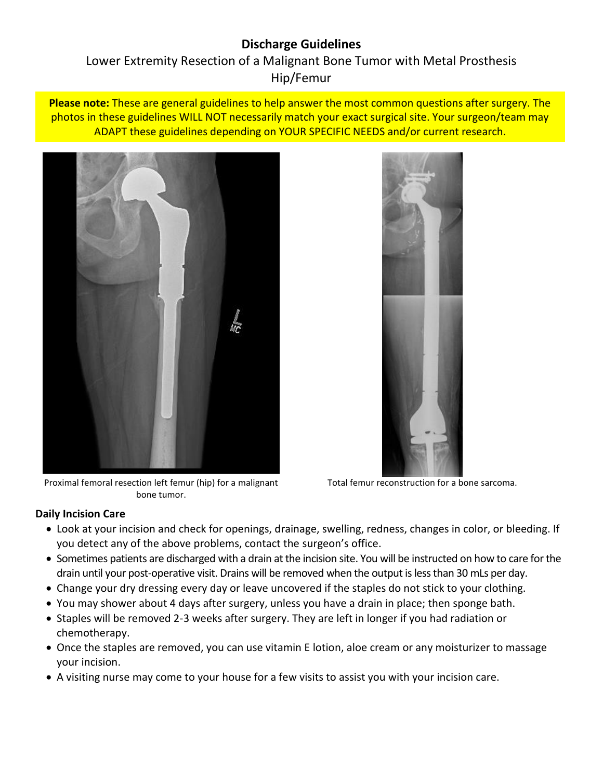# **Discharge Guidelines**

# Lower Extremity Resection of a Malignant Bone Tumor with Metal Prosthesis Hip/Femur

**Please note:** These are general guidelines to help answer the most common questions after surgery. The photos in these guidelines WILL NOT necessarily match your exact surgical site. Your surgeon/team may ADAPT these guidelines depending on YOUR SPECIFIC NEEDS and/or current research.



Proximal femoral resection left femur (hip) for a malignant bone tumor.



Total femur reconstruction for a bone sarcoma.

#### **Daily Incision Care**

- Look at your incision and check for openings, drainage, swelling, redness, changes in color, or bleeding. If you detect any of the above problems, contact the surgeon's office.
- Sometimes patients are discharged with a drain at the incision site. You will be instructed on how to care for the drain until your post-operative visit. Drains will be removed when the output is less than 30 mLs per day.
- Change your dry dressing every day or leave uncovered if the staples do not stick to your clothing.
- You may shower about 4 days after surgery, unless you have a drain in place; then sponge bath.
- Staples will be removed 2-3 weeks after surgery. They are left in longer if you had radiation or chemotherapy.
- Once the staples are removed, you can use vitamin E lotion, aloe cream or any moisturizer to massage your incision.
- A visiting nurse may come to your house for a few visits to assist you with your incision care.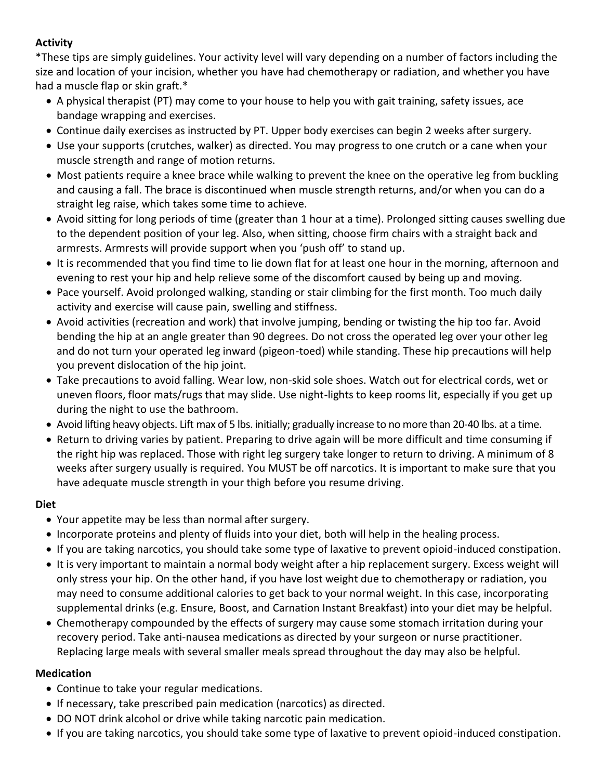# **Activity**

\*These tips are simply guidelines. Your activity level will vary depending on a number of factors including the size and location of your incision, whether you have had chemotherapy or radiation, and whether you have had a muscle flap or skin graft.\*

- A physical therapist (PT) may come to your house to help you with gait training, safety issues, ace bandage wrapping and exercises.
- Continue daily exercises as instructed by PT. Upper body exercises can begin 2 weeks after surgery.
- Use your supports (crutches, walker) as directed. You may progress to one crutch or a cane when your muscle strength and range of motion returns.
- Most patients require a knee brace while walking to prevent the knee on the operative leg from buckling and causing a fall. The brace is discontinued when muscle strength returns, and/or when you can do a straight leg raise, which takes some time to achieve.
- Avoid sitting for long periods of time (greater than 1 hour at a time). Prolonged sitting causes swelling due to the dependent position of your leg. Also, when sitting, choose firm chairs with a straight back and armrests. Armrests will provide support when you 'push off' to stand up.
- It is recommended that you find time to lie down flat for at least one hour in the morning, afternoon and evening to rest your hip and help relieve some of the discomfort caused by being up and moving.
- Pace yourself. Avoid prolonged walking, standing or stair climbing for the first month. Too much daily activity and exercise will cause pain, swelling and stiffness.
- Avoid activities (recreation and work) that involve jumping, bending or twisting the hip too far. Avoid bending the hip at an angle greater than 90 degrees. Do not cross the operated leg over your other leg and do not turn your operated leg inward (pigeon-toed) while standing. These hip precautions will help you prevent dislocation of the hip joint.
- Take precautions to avoid falling. Wear low, non-skid sole shoes. Watch out for electrical cords, wet or uneven floors, floor mats/rugs that may slide. Use night-lights to keep rooms lit, especially if you get up during the night to use the bathroom.
- Avoid lifting heavy objects. Lift max of 5 lbs. initially; gradually increase to no more than 20-40 lbs. at a time.
- Return to driving varies by patient. Preparing to drive again will be more difficult and time consuming if the right hip was replaced. Those with right leg surgery take longer to return to driving. A minimum of 8 weeks after surgery usually is required. You MUST be off narcotics. It is important to make sure that you have adequate muscle strength in your thigh before you resume driving.

# **Diet**

- Your appetite may be less than normal after surgery.
- Incorporate proteins and plenty of fluids into your diet, both will help in the healing process.
- If you are taking narcotics, you should take some type of laxative to prevent opioid-induced constipation.
- It is very important to maintain a normal body weight after a hip replacement surgery. Excess weight will only stress your hip. On the other hand, if you have lost weight due to chemotherapy or radiation, you may need to consume additional calories to get back to your normal weight. In this case, incorporating supplemental drinks (e.g. Ensure, Boost, and Carnation Instant Breakfast) into your diet may be helpful.
- Chemotherapy compounded by the effects of surgery may cause some stomach irritation during your recovery period. Take anti-nausea medications as directed by your surgeon or nurse practitioner. Replacing large meals with several smaller meals spread throughout the day may also be helpful.

# **Medication**

- Continue to take your regular medications.
- If necessary, take prescribed pain medication (narcotics) as directed.
- DO NOT drink alcohol or drive while taking narcotic pain medication.
- If you are taking narcotics, you should take some type of laxative to prevent opioid-induced constipation.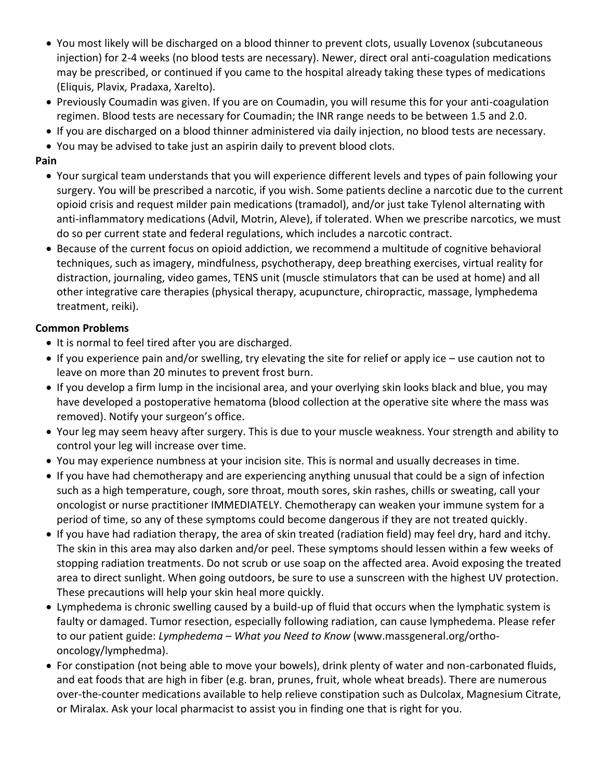- You most likely will be discharged on a blood thinner to prevent clots, usually Lovenox (subcutaneous injection) for 2-4 weeks (no blood tests are necessary). Newer, direct oral anti-coagulation medications may be prescribed, or continued if you came to the hospital already taking these types of medications (Eliquis, Plavix, Pradaxa, Xarelto).
- Previously Coumadin was given. If you are on Coumadin, you will resume this for your anti-coagulation regimen. Blood tests are necessary for Coumadin; the INR range needs to be between 1.5 and 2.0.
- If you are discharged on a blood thinner administered via daily injection, no blood tests are necessary.
- You may be advised to take just an aspirin daily to prevent blood clots.

# **Pain**

- Your surgical team understands that you will experience different levels and types of pain following your surgery. You will be prescribed a narcotic, if you wish. Some patients decline a narcotic due to the current opioid crisis and request milder pain medications (tramadol), and/or just take Tylenol alternating with anti-inflammatory medications (Advil, Motrin, Aleve), if tolerated. When we prescribe narcotics, we must do so per current state and federal regulations, which includes a narcotic contract.
- Because of the current focus on opioid addiction, we recommend a multitude of cognitive behavioral techniques, such as imagery, mindfulness, psychotherapy, deep breathing exercises, virtual reality for distraction, journaling, video games, TENS unit (muscle stimulators that can be used at home) and all other integrative care therapies (physical therapy, acupuncture, chiropractic, massage, lymphedema treatment, reiki).

# **Common Problems**

- It is normal to feel tired after you are discharged.
- If you experience pain and/or swelling, try elevating the site for relief or apply ice use caution not to leave on more than 20 minutes to prevent frost burn.
- If you develop a firm lump in the incisional area, and your overlying skin looks black and blue, you may have developed a postoperative hematoma (blood collection at the operative site where the mass was removed). Notify your surgeon's office.
- Your leg may seem heavy after surgery. This is due to your muscle weakness. Your strength and ability to control your leg will increase over time.
- You may experience numbness at your incision site. This is normal and usually decreases in time.
- If you have had chemotherapy and are experiencing anything unusual that could be a sign of infection such as a high temperature, cough, sore throat, mouth sores, skin rashes, chills or sweating, call your oncologist or nurse practitioner IMMEDIATELY. Chemotherapy can weaken your immune system for a period of time, so any of these symptoms could become dangerous if they are not treated quickly.
- If you have had radiation therapy, the area of skin treated (radiation field) may feel dry, hard and itchy. The skin in this area may also darken and/or peel. These symptoms should lessen within a few weeks of stopping radiation treatments. Do not scrub or use soap on the affected area. Avoid exposing the treated area to direct sunlight. When going outdoors, be sure to use a sunscreen with the highest UV protection. These precautions will help your skin heal more quickly.
- Lymphedema is chronic swelling caused by a build-up of fluid that occurs when the lymphatic system is faulty or damaged. Tumor resection, especially following radiation, can cause lymphedema. Please refer to our patient guide: *Lymphedema – What you Need to Know* (www.massgeneral.org/orthooncology/lymphedma).
- For constipation (not being able to move your bowels), drink plenty of water and non-carbonated fluids, and eat foods that are high in fiber (e.g. bran, prunes, fruit, whole wheat breads). There are numerous over-the-counter medications available to help relieve constipation such as Dulcolax, Magnesium Citrate, or Miralax. Ask your local pharmacist to assist you in finding one that is right for you.